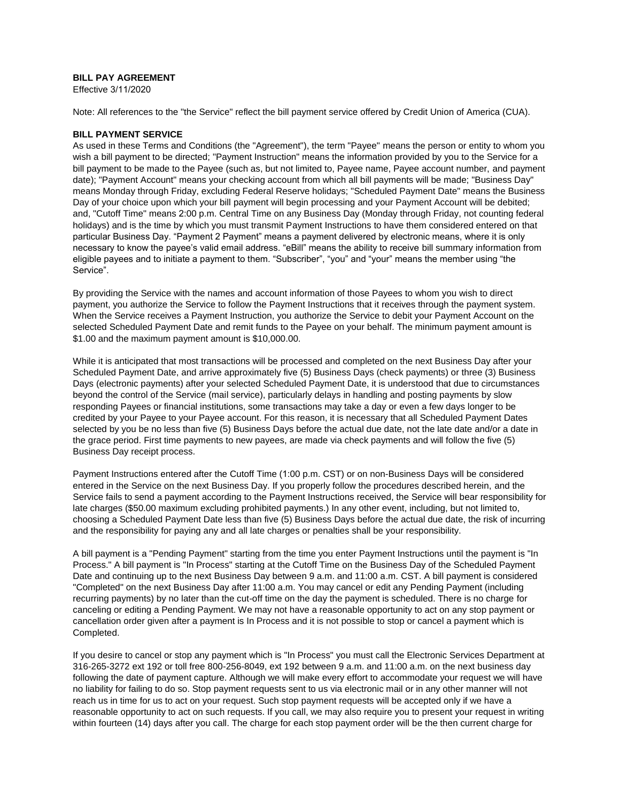## **BILL PAY AGREEMENT**

Effective 3/11/2020

Note: All references to the "the Service" reflect the bill payment service offered by Credit Union of America (CUA).

## **BILL PAYMENT SERVICE**

 wish a bill payment to be directed; "Payment Instruction" means the information provided by you to the Service for a bill payment to be made to the Payee (such as, but not limited to, Payee name, Payee account number, and payment and, "Cutoff Time" means 2:00 p.m. Central Time on any Business Day (Monday through Friday, not counting federal necessary to know the payee's valid email address. "eBill" means the ability to receive bill summary information from As used in these Terms and Conditions (the "Agreement"), the term "Payee" means the person or entity to whom you date); "Payment Account" means your checking account from which all bill payments will be made; "Business Day" means Monday through Friday, excluding Federal Reserve holidays; "Scheduled Payment Date" means the Business Day of your choice upon which your bill payment will begin processing and your Payment Account will be debited; holidays) and is the time by which you must transmit Payment Instructions to have them considered entered on that particular Business Day. "Payment 2 Payment" means a payment delivered by electronic means, where it is only eligible payees and to initiate a payment to them. "Subscriber", "you" and "your" means the member using "the Service".

 \$1.00 and the maximum payment amount is \$[10,000.00.](https://10,000.00) By providing the Service with the names and account information of those Payees to whom you wish to direct payment, you authorize the Service to follow the Payment Instructions that it receives through the payment system. When the Service receives a Payment Instruction, you authorize the Service to debit your Payment Account on the selected Scheduled Payment Date and remit funds to the Payee on your behalf. The minimum payment amount is

 beyond the control of the Service (mail service), particularly delays in handling and posting payments by slow selected by you be no less than five (5) Business Days before the actual due date, not the late date and/or a date in the grace period. First time payments to new payees, are made via check payments and will follow the five (5) While it is anticipated that most transactions will be processed and completed on the next Business Day after your Scheduled Payment Date, and arrive approximately five (5) Business Days (check payments) or three (3) Business Days (electronic payments) after your selected Scheduled Payment Date, it is understood that due to circumstances responding Payees or financial institutions, some transactions may take a day or even a few days longer to be credited by your Payee to your Payee account. For this reason, it is necessary that all Scheduled Payment Dates Business Day receipt process.

 entered in the Service on the next Business Day. If you properly follow the procedures described herein, and the Service fails to send a payment according to the Payment Instructions received, the Service will bear responsibility for and the responsibility for paying any and all late charges or penalties shall be your responsibility. Payment Instructions entered after the Cutoff Time (1:00 p.m. CST) or on non-Business Days will be considered late charges (\$50.00 maximum excluding prohibited payments.) In any other event, including, but not limited to, choosing a Scheduled Payment Date less than five (5) Business Days before the actual due date, the risk of incurring

 Date and continuing up to the next Business Day between 9 a.m. and 11:00 a.m. CST. A bill payment is considered recurring payments) by no later than the cut-off time on the day the payment is scheduled. There is no charge for canceling or editing a Pending Payment. We may not have a reasonable opportunity to act on any stop payment or Completed. A bill payment is a "Pending Payment" starting from the time you enter Payment Instructions until the payment is "In Process." A bill payment is "In Process" starting at the Cutoff Time on the Business Day of the Scheduled Payment "Completed" on the next Business Day after 11:00 a.m. You may cancel or edit any Pending Payment (including cancellation order given after a payment is In Process and it is not possible to stop or cancel a payment which is

 If you desire to cancel or stop any payment which is "In Process" you must call the Electronic Services Department at reach us in time for us to act on your request. Such stop payment requests will be accepted only if we have a within fourteen (14) days after you call. The charge for each stop payment order will be the then current charge for316-265-3272 ext 192 or toll free 800-256-8049, ext 192 between 9 a.m. and 11:00 a.m. on the next business day following the date of payment capture. Although we will make every effort to accommodate your request we will have no liability for failing to do so. Stop payment requests sent to us via electronic mail or in any other manner will not reasonable opportunity to act on such requests. If you call, we may also require you to present your request in writing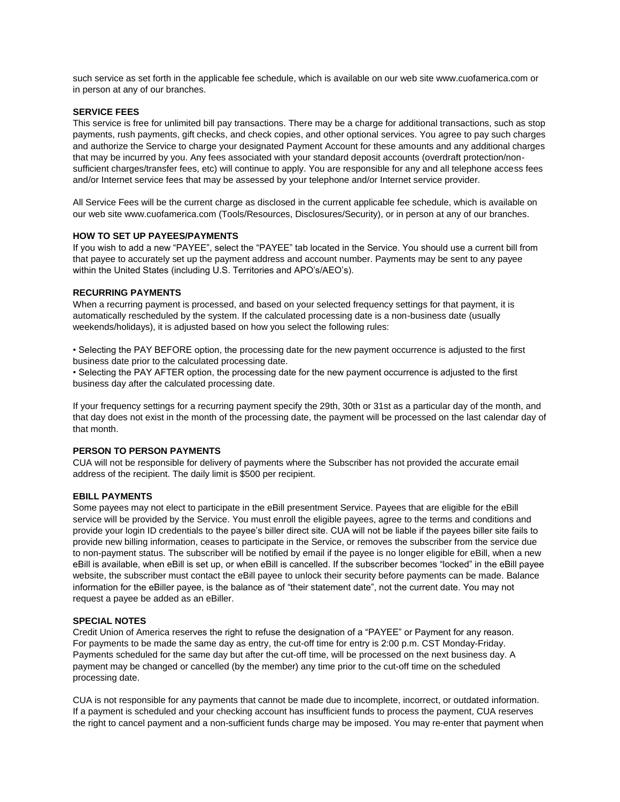such service as set forth in the applicable fee schedule, which is available on our web site <www.cuofamerica.com> or in person at any of our branches.

## **SERVICE FEES**

 and authorize the Service to charge your designated Payment Account for these amounts and any additional charges that may be incurred by you. Any fees associated with your standard deposit accounts (overdraft protection/non- sufficient charges/transfer fees, etc) will continue to apply. You are responsible for any and all telephone access fees This service is free for unlimited bill pay transactions. There may be a charge for additional transactions, such as stop payments, rush payments, gift checks, and check copies, and other optional services. You agree to pay such charges and/or Internet service fees that may be assessed by your telephone and/or Internet service provider.

 our web site<www.cuofamerica.com>(Tools/Resources, Disclosures/Security), or in person at any of our branches. All Service Fees will be the current charge as disclosed in the current applicable fee schedule, which is available on

### **HOW TO SET UP PAYEES/PAYMENTS**

 If you wish to add a new "PAYEE", select the "PAYEE" tab located in the Service. You should use a current bill from that payee to accurately set up the payment address and account number. Payments may be sent to any payee within the United States (including U.S. Territories and APO's/AEO's).

#### **RECURRING PAYMENTS**

 automatically rescheduled by the system. If the calculated processing date is a non-business date (usually When a recurring payment is processed, and based on your selected frequency settings for that payment, it is weekends/holidays), it is adjusted based on how you select the following rules:

 • Selecting the PAY BEFORE option, the processing date for the new payment occurrence is adjusted to the first business date prior to the calculated processing date.

• Selecting the PAY AFTER option, the processing date for the new payment occurrence is adjusted to the first business day after the calculated processing date.

 that day does not exist in the month of the processing date, the payment will be processed on the last calendar day of If your frequency settings for a recurring payment specify the 29th, 30th or 31st as a particular day of the month, and that month.

### **PERSON TO PERSON PAYMENTS**

CUA will not be responsible for delivery of payments where the Subscriber has not provided the accurate email address of the recipient. The daily limit is \$500 per recipient.

#### **EBILL PAYMENTS**

 Some payees may not elect to participate in the eBill presentment Service. Payees that are eligible for the eBill provide your login ID credentials to the payee's biller direct site. CUA will not be liable if the payees biller site fails to provide new billing information, ceases to participate in the Service, or removes the subscriber from the service due to non-payment status. The subscriber will be notified by email if the payee is no longer eligible for eBill, when a new eBill is available, when eBill is set up, or when eBill is cancelled. If the subscriber becomes "locked" in the eBill payee request a payee be added as an eBiller. service will be provided by the Service. You must enroll the eligible payees, agree to the terms and conditions and website, the subscriber must contact the eBill payee to unlock their security before payments can be made. Balance information for the eBiller payee, is the balance as of "their statement date", not the current date. You may not

#### **SPECIAL NOTES**

 For payments to be made the same day as entry, the cut-off time for entry is 2:00 p.m. CST Monday-Friday. Payments scheduled for the same day but after the cut-off time, will be processed on the next business day. A payment may be changed or cancelled (by the member) any time prior to the cut-off time on the scheduled processing date. Credit Union of America reserves the right to refuse the designation of a "PAYEE" or Payment for any reason.

 If a payment is scheduled and your checking account has insufficient funds to process the payment, CUA reserves CUA is not responsible for any payments that cannot be made due to incomplete, incorrect, or outdated information. the right to cancel payment and a non-sufficient funds charge may be imposed. You may re-enter that payment when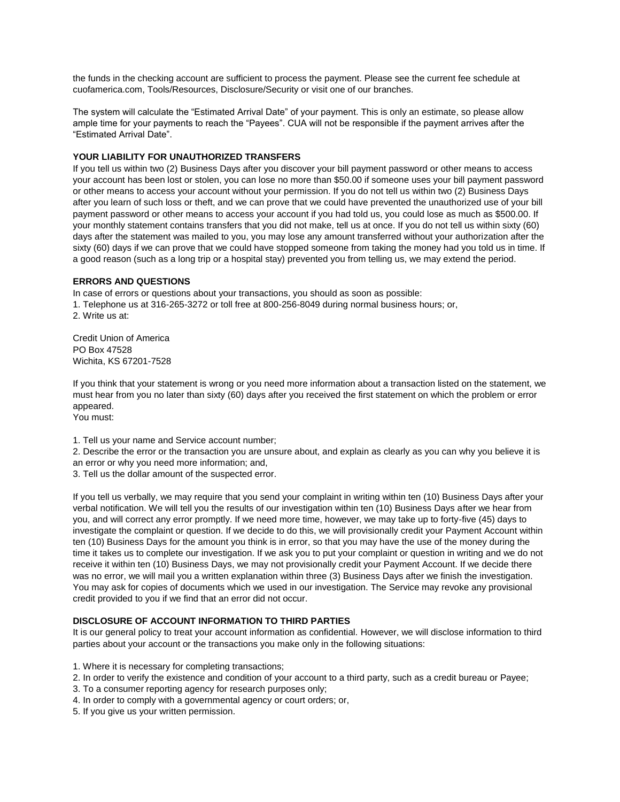the funds in the checking account are sufficient to process the payment. Please see the current fee schedule at [cuofamerica.com,](https://cuofamerica.com) Tools/Resources, Disclosure/Security or visit one of our branches.

 The system will calculate the "Estimated Arrival Date" of your payment. This is only an estimate, so please allow ample time for your payments to reach the "Payees". CUA will not be responsible if the payment arrives after the "Estimated Arrival Date".

## **YOUR LIABILITY FOR UNAUTHORIZED TRANSFERS**

 after you learn of such loss or theft, and we can prove that we could have prevented the unauthorized use of your bill days after the statement was mailed to you, you may lose any amount transferred without your authorization after the a good reason (such as a long trip or a hospital stay) prevented you from telling us, we may extend the period. If you tell us within two (2) Business Days after you discover your bill payment password or other means to access your account has been lost or stolen, you can lose no more than \$50.00 if someone uses your bill payment password or other means to access your account without your permission. If you do not tell us within two (2) Business Days payment password or other means to access your account if you had told us, you could lose as much as \$500.00. If your monthly statement contains transfers that you did not make, tell us at once. If you do not tell us within sixty (60) sixty (60) days if we can prove that we could have stopped someone from taking the money had you told us in time. If

## **ERRORS AND QUESTIONS**

In case of errors or questions about your transactions, you should as soon as possible:

 1. Telephone us at 316-265-3272 or toll free at 800-256-8049 during normal business hours; or, 2. Write us at:

 Credit Union of America PO Box 47528 Wichita, KS 67201-7528

 If you think that your statement is wrong or you need more information about a transaction listed on the statement, we must hear from you no later than sixty (60) days after you received the first statement on which the problem or error appeared.

You must:

1. Tell us your name and Service account number;

2. Describe the error or the transaction you are unsure about, and explain as clearly as you can why you believe it is an error or why you need more information; and,

3. Tell us the dollar amount of the suspected error.

 verbal notification. We will tell you the results of our investigation within ten (10) Business Days after we hear from investigate the complaint or question. If we decide to do this, we will provisionally credit your Payment Account within receive it within ten (10) Business Days, we may not provisionally credit your Payment Account. If we decide there was no error, we will mail you a written explanation within three (3) Business Days after we finish the investigation. You may ask for copies of documents which we used in our investigation. The Service may revoke any provisional If you tell us verbally, we may require that you send your complaint in writing within ten (10) Business Days after your you, and will correct any error promptly. If we need more time, however, we may take up to forty-five (45) days to ten (10) Business Days for the amount you think is in error, so that you may have the use of the money during the time it takes us to complete our investigation. If we ask you to put your complaint or question in writing and we do not credit provided to you if we find that an error did not occur.

# **DISCLOSURE OF ACCOUNT INFORMATION TO THIRD PARTIES**

 parties about your account or the transactions you make only in the following situations: It is our general policy to treat your account information as confidential. However, we will disclose information to third

- 1. Where it is necessary for completing transactions;
- 2. In order to verify the existence and condition of your account to a third party, such as a credit bureau or Payee;
- 3. To a consumer reporting agency for research purposes only;
- 4. In order to comply with a governmental agency or court orders; or,
- 5. If you give us your written permission.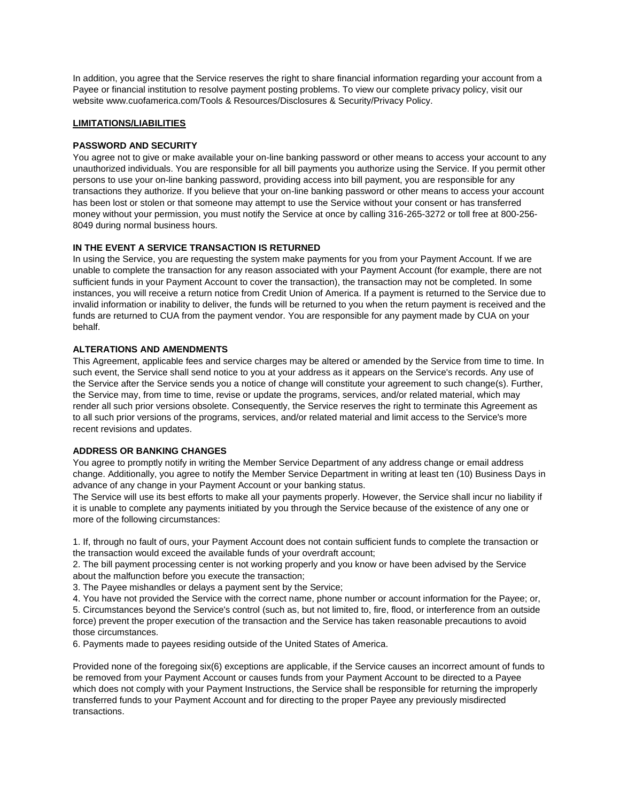In addition, you agree that the Service reserves the right to share financial information regarding your account from a Payee or financial institution to resolve payment posting problems. To view our complete privacy policy, visit our website<www.cuofamerica.com/Tools> & Resources/Disclosures & Security/Privacy Policy.

## **LIMITATIONS/LIABILITIES**

## **PASSWORD AND SECURITY**

 money without your permission, you must notify the Service at once by calling 316-265-3272 or toll free at 800-256- 8049 during normal business hours. You agree not to give or make available your on-line banking password or other means to access your account to any unauthorized individuals. You are responsible for all bill payments you authorize using the Service. If you permit other persons to use your on-line banking password, providing access into bill payment, you are responsible for any transactions they authorize. If you believe that your on-line banking password or other means to access your account has been lost or stolen or that someone may attempt to use the Service without your consent or has transferred

# **IN THE EVENT A SERVICE TRANSACTION IS RETURNED**

In using the Service, you are requesting the system make payments for you from your Payment Account. If we are unable to complete the transaction for any reason associated with your Payment Account (for example, there are not sufficient funds in your Payment Account to cover the transaction), the transaction may not be completed. In some instances, you will receive a return notice from Credit Union of America. If a payment is returned to the Service due to invalid information or inability to deliver, the funds will be returned to you when the return payment is received and the funds are returned to CUA from the payment vendor. You are responsible for any payment made by CUA on your behalf.

## **ALTERATIONS AND AMENDMENTS**

 such event, the Service shall send notice to you at your address as it appears on the Service's records. Any use of This Agreement, applicable fees and service charges may be altered or amended by the Service from time to time. In the Service after the Service sends you a notice of change will constitute your agreement to such change(s). Further, the Service may, from time to time, revise or update the programs, services, and/or related material, which may render all such prior versions obsolete. Consequently, the Service reserves the right to terminate this Agreement as to all such prior versions of the programs, services, and/or related material and limit access to the Service's more recent revisions and updates.

## **ADDRESS OR BANKING CHANGES**

 You agree to promptly notify in writing the Member Service Department of any address change or email address change. Additionally, you agree to notify the Member Service Department in writing at least ten (10) Business Days in advance of any change in your Payment Account or your banking status.

 The Service will use its best efforts to make all your payments properly. However, the Service shall incur no liability if it is unable to complete any payments initiated by you through the Service because of the existence of any one or more of the following circumstances:

 1. If, through no fault of ours, your Payment Account does not contain sufficient funds to complete the transaction or the transaction would exceed the available funds of your overdraft account;

 2. The bill payment processing center is not working properly and you know or have been advised by the Service about the malfunction before you execute the transaction;

3. The Payee mishandles or delays a payment sent by the Service;

 5. Circumstances beyond the Service's control (such as, but not limited to, fire, flood, or interference from an outside force) prevent the proper execution of the transaction and the Service has taken reasonable precautions to avoid 4. You have not provided the Service with the correct name, phone number or account information for the Payee; or, those circumstances.

6. Payments made to payees residing outside of the United States of America.

 be removed from your Payment Account or causes funds from your Payment Account to be directed to a Payee Provided none of the foregoing six(6) exceptions are applicable, if the Service causes an incorrect amount of funds to which does not comply with your Payment Instructions, the Service shall be responsible for returning the improperly transferred funds to your Payment Account and for directing to the proper Payee any previously misdirected transactions.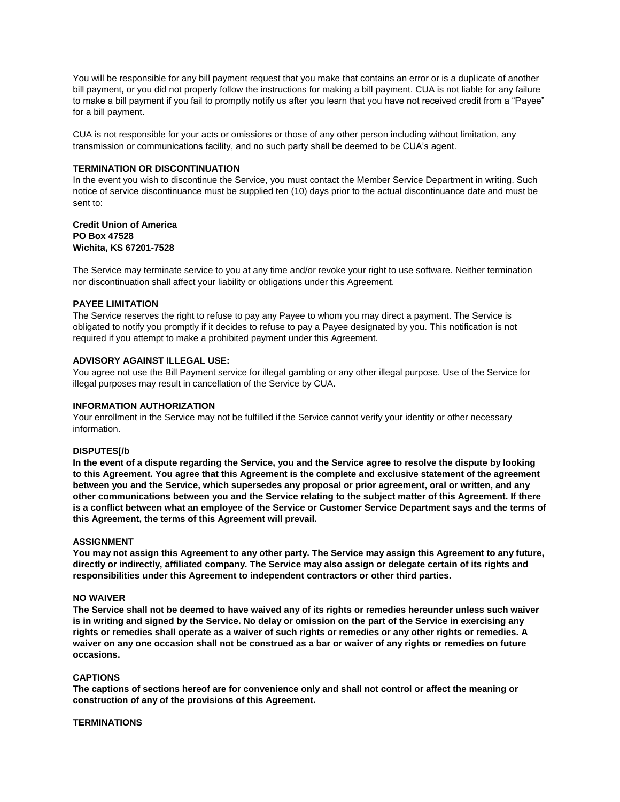You will be responsible for any bill payment request that you make that contains an error or is a duplicate of another to make a bill payment if you fail to promptly notify us after you learn that you have not received credit from a "Payee" bill payment, or you did not properly follow the instructions for making a bill payment. CUA is not liable for any failure for a bill payment.

 transmission or communications facility, and no such party shall be deemed to be CUA's agent. CUA is not responsible for your acts or omissions or those of any other person including without limitation, any

### **TERMINATION OR DISCONTINUATION**

 notice of service discontinuance must be supplied ten (10) days prior to the actual discontinuance date and must be In the event you wish to discontinue the Service, you must contact the Member Service Department in writing. Such sent to:

### **Credit Union of America PO Box 47528 Wichita, KS 67201-7528**

The Service may terminate service to you at any time and/or revoke your right to use software. Neither termination nor discontinuation shall affect your liability or obligations under this Agreement.

### **PAYEE LIMITATION**

 required if you attempt to make a prohibited payment under this Agreement. The Service reserves the right to refuse to pay any Payee to whom you may direct a payment. The Service is obligated to notify you promptly if it decides to refuse to pay a Payee designated by you. This notification is not

### **ADVISORY AGAINST ILLEGAL USE:**

 illegal purposes may result in cancellation of the Service by CUA. You agree not use the Bill Payment service for illegal gambling or any other illegal purpose. Use of the Service for

#### **INFORMATION AUTHORIZATION**

Your enrollment in the Service may not be fulfilled if the Service cannot verify your identity or other necessary information.

#### **DISPUTES[/b**

 **this Agreement, the terms of this Agreement will prevail. In the event of a dispute regarding the Service, you and the Service agree to resolve the dispute by looking to this Agreement. You agree that this Agreement is the complete and exclusive statement of the agreement between you and the Service, which supersedes any proposal or prior agreement, oral or written, and any other communications between you and the Service relating to the subject matter of this Agreement. If there is a conflict between what an employee of the Service or Customer Service Department says and the terms of** 

### **ASSIGNMENT**

 **directly or indirectly, affiliated company. The Service may also assign or delegate certain of its rights and You may not assign this Agreement to any other party. The Service may assign this Agreement to any future, responsibilities under this Agreement to independent contractors or other third parties.** 

#### **NO WAIVER**

 **rights or remedies shall operate as a waiver of such rights or remedies or any other rights or remedies. A The Service shall not be deemed to have waived any of its rights or remedies hereunder unless such waiver is in writing and signed by the Service. No delay or omission on the part of the Service in exercising any waiver on any one occasion shall not be construed as a bar or waiver of any rights or remedies on future occasions.** 

#### **CAPTIONS**

**The captions of sections hereof are for convenience only and shall not control or affect the meaning or construction of any of the provisions of this Agreement.** 

#### **TERMINATIONS**